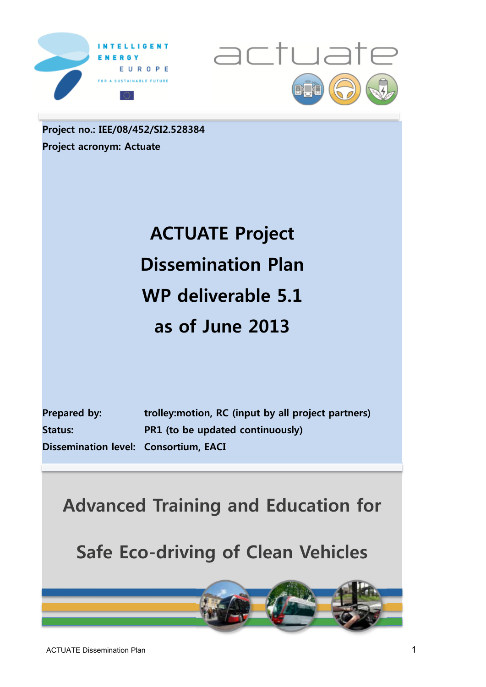



**Project no.: IEE/08/452/SI2.528384 Project acronym: Actuate** 

# **ACTUATE Project Dissemination Plan WP deliverable 5.1 as of June 2013**

| <b>Prepared by:</b>                   | trolley: motion, RC (input by all project partners) |
|---------------------------------------|-----------------------------------------------------|
| <b>Status:</b>                        | PR1 (to be updated continuously)                    |
| Dissemination level: Consortium, EACI |                                                     |

# **Advanced Training and Education for**

**Safe Eco-driving of Clean Vehicles** 

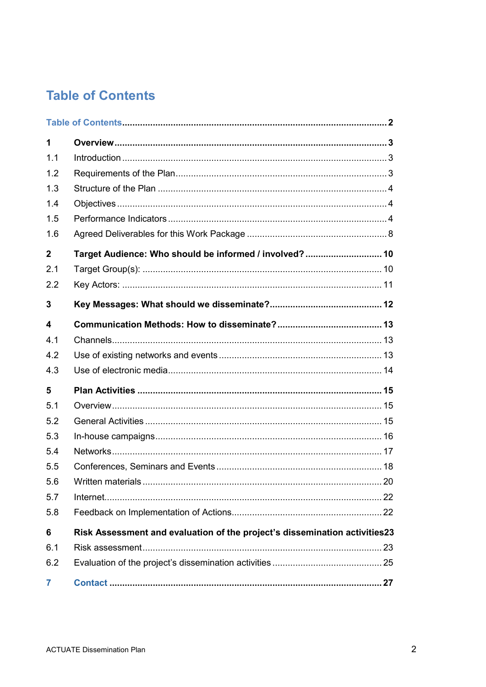# **Table of Contents**

| $\mathbf{1}$     |                                                                            |  |
|------------------|----------------------------------------------------------------------------|--|
| 1.1              |                                                                            |  |
| 1.2              |                                                                            |  |
| 1.3              |                                                                            |  |
| 1.4              |                                                                            |  |
| 1.5              |                                                                            |  |
| 1.6              |                                                                            |  |
| $\boldsymbol{2}$ | Target Audience: Who should be informed / involved?  10                    |  |
| 2.1              |                                                                            |  |
| 2.2              |                                                                            |  |
| 3                |                                                                            |  |
| 4                |                                                                            |  |
| 4.1              |                                                                            |  |
| 4.2              |                                                                            |  |
| 4.3              |                                                                            |  |
| 5                |                                                                            |  |
| 5.1              |                                                                            |  |
| 5.2              |                                                                            |  |
| 5.3              |                                                                            |  |
| 5.4              |                                                                            |  |
| 5.5              |                                                                            |  |
| 5.6              |                                                                            |  |
| 5.7              |                                                                            |  |
| 5.8              |                                                                            |  |
| 6                | Risk Assessment and evaluation of the project's dissemination activities23 |  |
| 6.1              |                                                                            |  |
| 6.2              |                                                                            |  |
| $\overline{7}$   |                                                                            |  |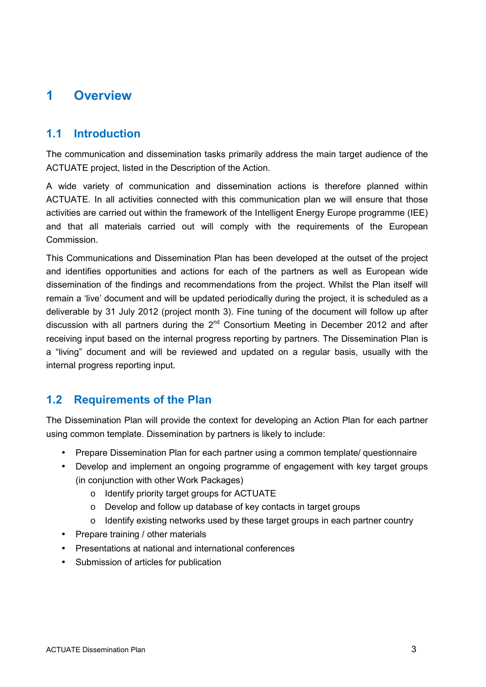# **1 Overview**

## **1.1 Introduction**

The communication and dissemination tasks primarily address the main target audience of the ACTUATE project, listed in the Description of the Action.

A wide variety of communication and dissemination actions is therefore planned within ACTUATE. In all activities connected with this communication plan we will ensure that those activities are carried out within the framework of the Intelligent Energy Europe programme (IEE) and that all materials carried out will comply with the requirements of the European **Commission** 

This Communications and Dissemination Plan has been developed at the outset of the project and identifies opportunities and actions for each of the partners as well as European wide dissemination of the findings and recommendations from the project. Whilst the Plan itself will remain a 'live' document and will be updated periodically during the project, it is scheduled as a deliverable by 31 July 2012 (project month 3). Fine tuning of the document will follow up after discussion with all partners during the  $2<sup>nd</sup>$  Consortium Meeting in December 2012 and after receiving input based on the internal progress reporting by partners. The Dissemination Plan is a "living" document and will be reviewed and updated on a regular basis, usually with the internal progress reporting input.

## **1.2 Requirements of the Plan**

The Dissemination Plan will provide the context for developing an Action Plan for each partner using common template. Dissemination by partners is likely to include:

- Prepare Dissemination Plan for each partner using a common template/ questionnaire
- Develop and implement an ongoing programme of engagement with key target groups (in conjunction with other Work Packages)
	- o Identify priority target groups for ACTUATE
	- o Develop and follow up database of key contacts in target groups
	- o Identify existing networks used by these target groups in each partner country
- Prepare training / other materials
- Presentations at national and international conferences
- Submission of articles for publication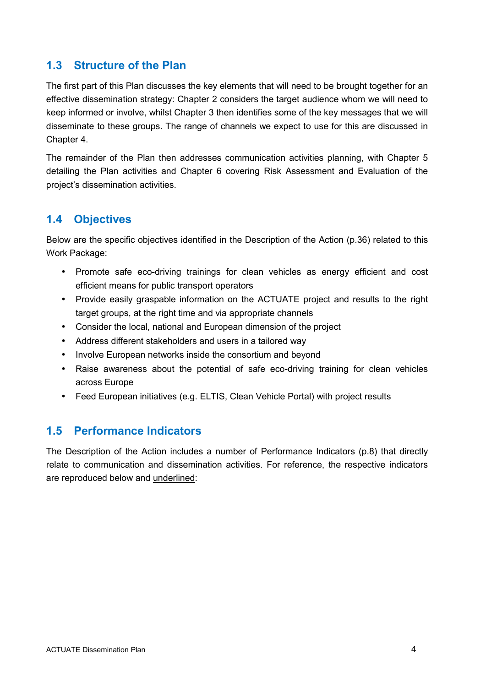## **1.3 Structure of the Plan**

The first part of this Plan discusses the key elements that will need to be brought together for an effective dissemination strategy: Chapter 2 considers the target audience whom we will need to keep informed or involve, whilst Chapter 3 then identifies some of the key messages that we will disseminate to these groups. The range of channels we expect to use for this are discussed in Chapter 4.

The remainder of the Plan then addresses communication activities planning, with Chapter 5 detailing the Plan activities and Chapter 6 covering Risk Assessment and Evaluation of the project's dissemination activities.

### **1.4 Objectives**

Below are the specific objectives identified in the Description of the Action (p.36) related to this Work Package:

- Promote safe eco-driving trainings for clean vehicles as energy efficient and cost efficient means for public transport operators
- Provide easily graspable information on the ACTUATE project and results to the right target groups, at the right time and via appropriate channels
- Consider the local, national and European dimension of the project
- Address different stakeholders and users in a tailored way
- Involve European networks inside the consortium and beyond
- Raise awareness about the potential of safe eco-driving training for clean vehicles across Europe
- Feed European initiatives (e.g. ELTIS, Clean Vehicle Portal) with project results

## **1.5 Performance Indicators**

The Description of the Action includes a number of Performance Indicators (p.8) that directly relate to communication and dissemination activities. For reference, the respective indicators are reproduced below and underlined: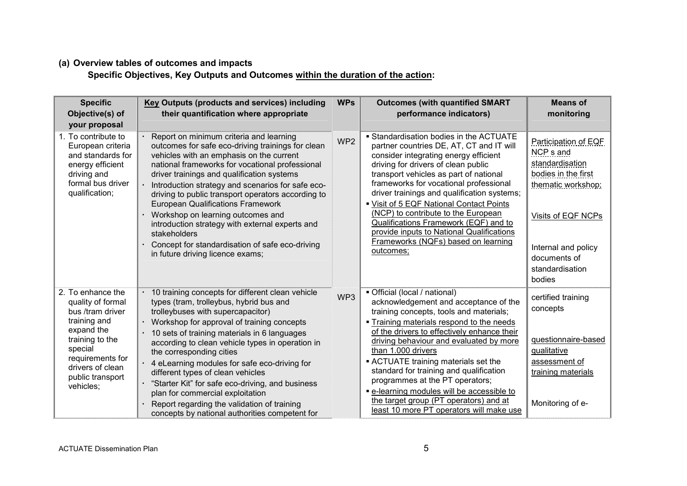#### **(a) Overview tables of outcomes and impacts**

**Specific Objectives, Key Outputs and Outcomes within the duration of the action:**

| <b>Specific</b><br>Objective(s) of<br>your proposal                                                                                                                                             | <b>Key Outputs (products and services) including</b><br>their quantification where appropriate                                                                                                                                                                                                                                                                                                                                                                                                                                                                                                       | <b>WPs</b>      | <b>Outcomes (with quantified SMART</b><br>performance indicators)                                                                                                                                                                                                                                                                                                                                                                                                                                                                        | <b>Means of</b><br>monitoring                                                                                                                                                                          |
|-------------------------------------------------------------------------------------------------------------------------------------------------------------------------------------------------|------------------------------------------------------------------------------------------------------------------------------------------------------------------------------------------------------------------------------------------------------------------------------------------------------------------------------------------------------------------------------------------------------------------------------------------------------------------------------------------------------------------------------------------------------------------------------------------------------|-----------------|------------------------------------------------------------------------------------------------------------------------------------------------------------------------------------------------------------------------------------------------------------------------------------------------------------------------------------------------------------------------------------------------------------------------------------------------------------------------------------------------------------------------------------------|--------------------------------------------------------------------------------------------------------------------------------------------------------------------------------------------------------|
| 1. To contribute to<br>European criteria<br>and standards for<br>energy efficient<br>driving and<br>formal bus driver<br>qualification;                                                         | Report on minimum criteria and learning<br>outcomes for safe eco-driving trainings for clean<br>vehicles with an emphasis on the current<br>national frameworks for vocational professional<br>driver trainings and qualification systems<br>Introduction strategy and scenarios for safe eco-<br>driving to public transport operators according to<br><b>European Qualifications Framework</b><br>Workshop on learning outcomes and<br>introduction strategy with external experts and<br>stakeholders<br>Concept for standardisation of safe eco-driving<br>in future driving licence exams;      | WP <sub>2</sub> | • Standardisation bodies in the ACTUATE<br>partner countries DE, AT, CT and IT will<br>consider integrating energy efficient<br>driving for drivers of clean public<br>transport vehicles as part of national<br>frameworks for vocational professional<br>driver trainings and qualification systems;<br>" Visit of 5 EQF National Contact Points<br>(NCP) to contribute to the European<br>Qualifications Framework (EQF) and to<br>provide inputs to National Qualifications<br>Frameworks (NQFs) based on learning<br>outcomes;      | Participation of EQF<br>NCP <sub>s</sub> and<br>standardisation<br>bodies in the first<br>thematic workshop;<br>Visits of EQF NCPs<br>Internal and policy<br>documents of<br>standardisation<br>bodies |
| 2. To enhance the<br>quality of formal<br>bus /tram driver<br>training and<br>expand the<br>training to the<br>special<br>requirements for<br>drivers of clean<br>public transport<br>vehicles; | 10 training concepts for different clean vehicle<br>types (tram, trolleybus, hybrid bus and<br>trolleybuses with supercapacitor)<br>Workshop for approval of training concepts<br>e.<br>10 sets of training materials in 6 languages<br>according to clean vehicle types in operation in<br>the corresponding cities<br>· 4 eLearning modules for safe eco-driving for<br>different types of clean vehicles<br>"Starter Kit" for safe eco-driving, and business<br>plan for commercial exploitation<br>Report regarding the validation of training<br>concepts by national authorities competent for | WP3             | • Official (local / national)<br>acknowledgement and acceptance of the<br>training concepts, tools and materials;<br>• Training materials respond to the needs<br>of the drivers to effectively enhance their<br>driving behaviour and evaluated by more<br>than 1.000 drivers<br>• ACTUATE training materials set the<br>standard for training and qualification<br>programmes at the PT operators;<br>· e-learning modules will be accessible to<br>the target group (PT operators) and at<br>least 10 more PT operators will make use | certified training<br>concepts<br>questionnaire-based<br>qualitative<br>assessment of<br>training materials<br>Monitoring of e-                                                                        |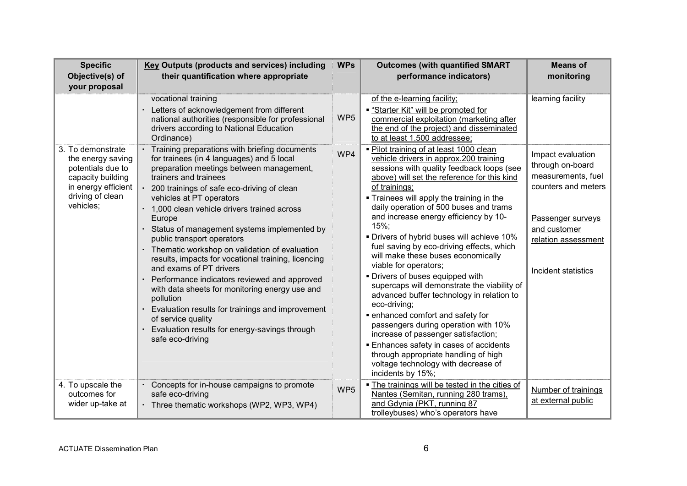| <b>Specific</b><br>Objective(s) of<br>your proposal                                                                                      | <b>Key Outputs (products and services) including</b><br>their quantification where appropriate                                                                                                                                                                                                                                                                                                                                                                                                                                                                                                                                                                                                                                                                                        | <b>WPs</b>      | <b>Outcomes (with quantified SMART</b><br>performance indicators)                                                                                                                                                                                                                                                                                                                                                                                                                                                                                                                                                                                                                                                                                                                                                                                                                                                        | <b>Means of</b><br>monitoring                                                                                                                                         |
|------------------------------------------------------------------------------------------------------------------------------------------|---------------------------------------------------------------------------------------------------------------------------------------------------------------------------------------------------------------------------------------------------------------------------------------------------------------------------------------------------------------------------------------------------------------------------------------------------------------------------------------------------------------------------------------------------------------------------------------------------------------------------------------------------------------------------------------------------------------------------------------------------------------------------------------|-----------------|--------------------------------------------------------------------------------------------------------------------------------------------------------------------------------------------------------------------------------------------------------------------------------------------------------------------------------------------------------------------------------------------------------------------------------------------------------------------------------------------------------------------------------------------------------------------------------------------------------------------------------------------------------------------------------------------------------------------------------------------------------------------------------------------------------------------------------------------------------------------------------------------------------------------------|-----------------------------------------------------------------------------------------------------------------------------------------------------------------------|
|                                                                                                                                          | vocational training<br>Letters of acknowledgement from different<br>national authorities (responsible for professional<br>drivers according to National Education<br>Ordinance)                                                                                                                                                                                                                                                                                                                                                                                                                                                                                                                                                                                                       | WP <sub>5</sub> | of the e-learning facility;<br>"Starter Kit" will be promoted for<br>commercial exploitation (marketing after<br>the end of the project) and disseminated<br>to at least 1.500 addressee;                                                                                                                                                                                                                                                                                                                                                                                                                                                                                                                                                                                                                                                                                                                                | learning facility                                                                                                                                                     |
| 3. To demonstrate<br>the energy saving<br>potentials due to<br>capacity building<br>in energy efficient<br>driving of clean<br>vehicles; | · Training preparations with briefing documents<br>for trainees (in 4 languages) and 5 local<br>preparation meetings between management,<br>trainers and trainees<br>200 trainings of safe eco-driving of clean<br>vehicles at PT operators<br>· 1,000 clean vehicle drivers trained across<br>Europe<br>Status of management systems implemented by<br>public transport operators<br>· Thematic workshop on validation of evaluation<br>results, impacts for vocational training, licencing<br>and exams of PT drivers<br>Performance indicators reviewed and approved<br>with data sheets for monitoring energy use and<br>pollution<br>Evaluation results for trainings and improvement<br>of service quality<br>Evaluation results for energy-savings through<br>safe eco-driving | WP4             | . Pilot training of at least 1000 clean<br>vehicle drivers in approx.200 training<br>sessions with quality feedback loops (see<br>above) will set the reference for this kind<br>of trainings;<br>. Trainees will apply the training in the<br>daily operation of 500 buses and trams<br>and increase energy efficiency by 10-<br>15%;<br>• Drivers of hybrid buses will achieve 10%<br>fuel saving by eco-driving effects, which<br>will make these buses economically<br>viable for operators;<br>• Drivers of buses equipped with<br>supercaps will demonstrate the viability of<br>advanced buffer technology in relation to<br>eco-driving;<br>· enhanced comfort and safety for<br>passengers during operation with 10%<br>increase of passenger satisfaction;<br><b>Enhances safety in cases of accidents</b><br>through appropriate handling of high<br>voltage technology with decrease of<br>incidents by 15%; | Impact evaluation<br>through on-board<br>measurements, fuel<br>counters and meters<br>Passenger surveys<br>and customer<br>relation assessment<br>Incident statistics |
| 4. To upscale the<br>outcomes for<br>wider up-take at                                                                                    | Concepts for in-house campaigns to promote<br>safe eco-driving<br>· Three thematic workshops (WP2, WP3, WP4)                                                                                                                                                                                                                                                                                                                                                                                                                                                                                                                                                                                                                                                                          | WP <sub>5</sub> | . The trainings will be tested in the cities of<br>Nantes (Semitan, running 280 trams),<br>and Gdynia (PKT, running 87<br>trolleybuses) who's operators have                                                                                                                                                                                                                                                                                                                                                                                                                                                                                                                                                                                                                                                                                                                                                             | Number of trainings<br>at external public                                                                                                                             |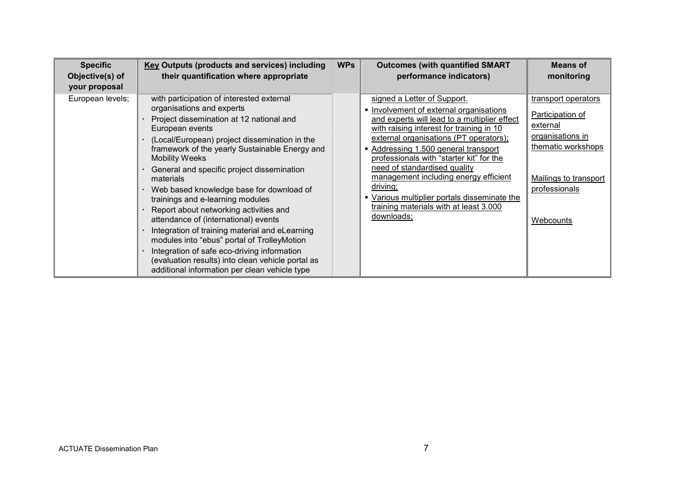| <b>Specific</b><br>Objective(s) of<br>your proposal | <b>Key Outputs (products and services) including</b><br>their quantification where appropriate                                                                                                                                                                                                                                                                                                                                                                                                                                                                                                                                                                                                                                                       | <b>WPs</b> | <b>Outcomes (with quantified SMART</b><br>performance indicators)                                                                                                                                                                                                                                                                                                                                                                                                                         | <b>Means of</b><br>monitoring                                                                                                                        |
|-----------------------------------------------------|------------------------------------------------------------------------------------------------------------------------------------------------------------------------------------------------------------------------------------------------------------------------------------------------------------------------------------------------------------------------------------------------------------------------------------------------------------------------------------------------------------------------------------------------------------------------------------------------------------------------------------------------------------------------------------------------------------------------------------------------------|------------|-------------------------------------------------------------------------------------------------------------------------------------------------------------------------------------------------------------------------------------------------------------------------------------------------------------------------------------------------------------------------------------------------------------------------------------------------------------------------------------------|------------------------------------------------------------------------------------------------------------------------------------------------------|
| European levels;                                    | with participation of interested external<br>organisations and experts<br>Project dissemination at 12 national and<br>European events<br>(Local/European) project dissemination in the<br>framework of the yearly Sustainable Energy and<br><b>Mobility Weeks</b><br>General and specific project dissemination<br>materials<br>Web based knowledge base for download of<br>trainings and e-learning modules<br>Report about networking activities and<br>attendance of (international) events<br>Integration of training material and eLearning<br>modules into "ebus" portal of TrolleyMotion<br>Integration of safe eco-driving information<br>(evaluation results) into clean vehicle portal as<br>additional information per clean vehicle type |            | signed a Letter of Support.<br>• Involvement of external organisations<br>and experts will lead to a multiplier effect<br>with raising interest for training in 10<br>external organisations (PT operators);<br>Addressing 1.500 general transport<br>professionals with "starter kit" for the<br>need of standardised quality<br>management including energy efficient<br>driving;<br>Various multiplier portals disseminate the<br>training materials with at least 3.000<br>downloads; | transport operators<br>Participation of<br>external<br>organisations in<br>thematic workshops<br>Mailings to transport<br>professionals<br>Webcounts |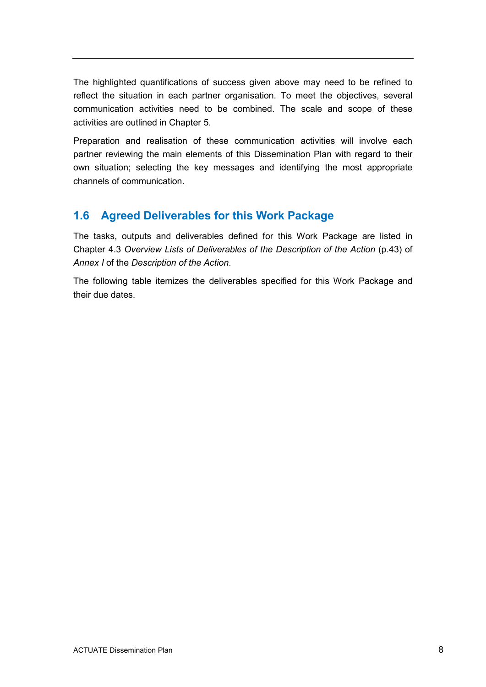The highlighted quantifications of success given above may need to be refined to reflect the situation in each partner organisation. To meet the objectives, several communication activities need to be combined. The scale and scope of these activities are outlined in Chapter 5.

Preparation and realisation of these communication activities will involve each partner reviewing the main elements of this Dissemination Plan with regard to their own situation; selecting the key messages and identifying the most appropriate channels of communication.

# **1.6 Agreed Deliverables for this Work Package**

The tasks, outputs and deliverables defined for this Work Package are listed in Chapter 4.3 *Overview Lists of Deliverables of the Description of the Action* (p.43) of *Annex I* of the *Description of the Action*.

The following table itemizes the deliverables specified for this Work Package and their due dates.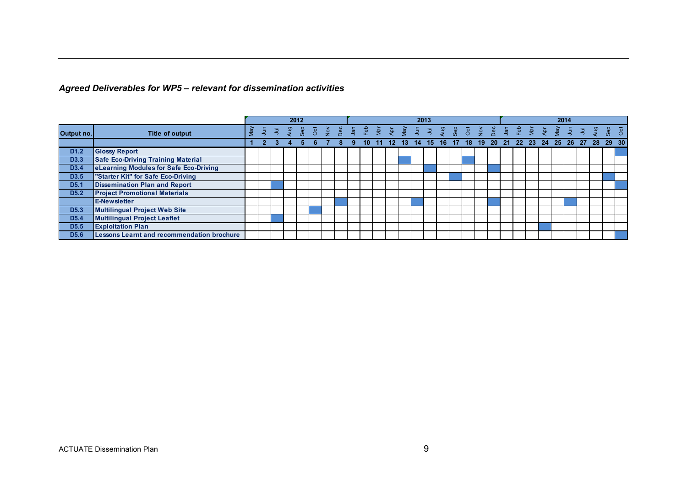#### *Agreed Deliverables for WP5 – relevant for dissemination activities*

|                  |                                                   |     |   |   |     |     | 2012     |               |           |               |       |                         |                 |     | 2013           |   |          |     |    |               |          |               |     | 2014                    |        |    |   |   |    |            |                |  |
|------------------|---------------------------------------------------|-----|---|---|-----|-----|----------|---------------|-----------|---------------|-------|-------------------------|-----------------|-----|----------------|---|----------|-----|----|---------------|----------|---------------|-----|-------------------------|--------|----|---|---|----|------------|----------------|--|
| Output no.       | <b>Title of output</b>                            | Nay | 흨 | 闫 | gur | န္တ | <b>b</b> | $\frac{3}{5}$ | <b>BC</b> | $\frac{5}{2}$ | ူမ်ိဳ | $\overline{\mathbf{g}}$ | •후              | vey | $\overline{5}$ | 闯 | gur<br>P | န္တ | ්ර | $\frac{3}{5}$ | Dec<br>D | $\frac{5}{2}$ | 을 유 | $\overline{\mathbf{B}}$ | -<br>导 | ék | 를 | 耳 | gu | <b>Gep</b> | 5 <sub>o</sub> |  |
|                  |                                                   |     |   |   |     |     |          |               |           |               | 10    |                         | 12 <sup>2</sup> | 13  | 14             |   | 15 16    | 17  | 18 | 19            |          |               |     | 20 21 22 23 24 25 26 27 |        |    |   |   | 28 | 29 30      |                |  |
| D <sub>1.2</sub> | <b>Glossy Report</b>                              |     |   |   |     |     |          |               |           |               |       |                         |                 |     |                |   |          |     |    |               |          |               |     |                         |        |    |   |   |    |            |                |  |
| D <sub>3.3</sub> | <b>Safe Eco-Driving Training Material</b>         |     |   |   |     |     |          |               |           |               |       |                         |                 |     |                |   |          |     |    |               |          |               |     |                         |        |    |   |   |    |            |                |  |
| D <sub>3.4</sub> | eLearning Modules for Safe Eco-Driving            |     |   |   |     |     |          |               |           |               |       |                         |                 |     |                |   |          |     |    |               |          |               |     |                         |        |    |   |   |    |            |                |  |
| D <sub>3.5</sub> | "Starter Kit" for Safe Eco-Driving                |     |   |   |     |     |          |               |           |               |       |                         |                 |     |                |   |          |     |    |               |          |               |     |                         |        |    |   |   |    |            |                |  |
| D <sub>5.1</sub> | <b>Dissemination Plan and Report</b>              |     |   |   |     |     |          |               |           |               |       |                         |                 |     |                |   |          |     |    |               |          |               |     |                         |        |    |   |   |    |            |                |  |
| D <sub>5.2</sub> | <b>Project Promotional Materials</b>              |     |   |   |     |     |          |               |           |               |       |                         |                 |     |                |   |          |     |    |               |          |               |     |                         |        |    |   |   |    |            |                |  |
|                  | <b>E-Newsletter</b>                               |     |   |   |     |     |          |               |           |               |       |                         |                 |     |                |   |          |     |    |               |          |               |     |                         |        |    |   |   |    |            |                |  |
| D <sub>5.3</sub> | <b>Multilingual Project Web Site</b>              |     |   |   |     |     |          |               |           |               |       |                         |                 |     |                |   |          |     |    |               |          |               |     |                         |        |    |   |   |    |            |                |  |
| D <sub>5.4</sub> | <b>Multilingual Project Leaflet</b>               |     |   |   |     |     |          |               |           |               |       |                         |                 |     |                |   |          |     |    |               |          |               |     |                         |        |    |   |   |    |            |                |  |
| D <sub>5.5</sub> | <b>Exploitation Plan</b>                          |     |   |   |     |     |          |               |           |               |       |                         |                 |     |                |   |          |     |    |               |          |               |     |                         |        |    |   |   |    |            |                |  |
| D <sub>5.6</sub> | <b>Lessons Learnt and recommendation brochure</b> |     |   |   |     |     |          |               |           |               |       |                         |                 |     |                |   |          |     |    |               |          |               |     |                         |        |    |   |   |    |            |                |  |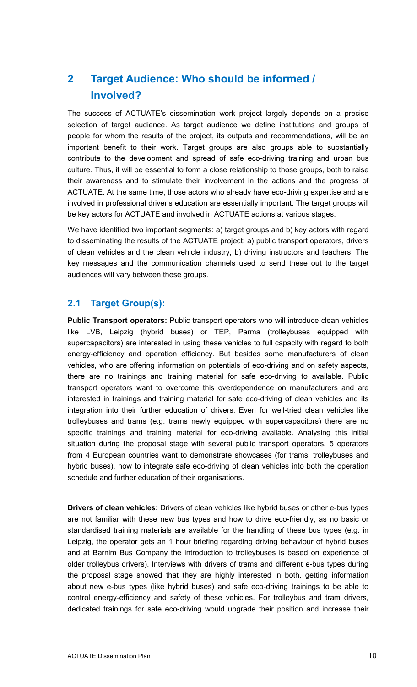# **2 Target Audience: Who should be informed / involved?**

The success of ACTUATE's dissemination work project largely depends on a precise selection of target audience. As target audience we define institutions and groups of people for whom the results of the project, its outputs and recommendations, will be an important benefit to their work. Target groups are also groups able to substantially contribute to the development and spread of safe eco-driving training and urban bus culture. Thus, it will be essential to form a close relationship to those groups, both to raise their awareness and to stimulate their involvement in the actions and the progress of ACTUATE. At the same time, those actors who already have eco-driving expertise and are involved in professional driver's education are essentially important. The target groups will be key actors for ACTUATE and involved in ACTUATE actions at various stages.

We have identified two important segments: a) target groups and b) key actors with regard to disseminating the results of the ACTUATE project: a) public transport operators, drivers of clean vehicles and the clean vehicle industry, b) driving instructors and teachers. The key messages and the communication channels used to send these out to the target audiences will vary between these groups.

# **2.1 Target Group(s):**

**Public Transport operators:** Public transport operators who will introduce clean vehicles like LVB, Leipzig (hybrid buses) or TEP, Parma (trolleybuses equipped with supercapacitors) are interested in using these vehicles to full capacity with regard to both energy-efficiency and operation efficiency. But besides some manufacturers of clean vehicles, who are offering information on potentials of eco-driving and on safety aspects, there are no trainings and training material for safe eco-driving to available. Public transport operators want to overcome this overdependence on manufacturers and are interested in trainings and training material for safe eco-driving of clean vehicles and its integration into their further education of drivers. Even for well-tried clean vehicles like trolleybuses and trams (e.g. trams newly equipped with supercapacitors) there are no specific trainings and training material for eco-driving available. Analysing this initial situation during the proposal stage with several public transport operators, 5 operators from 4 European countries want to demonstrate showcases (for trams, trolleybuses and hybrid buses), how to integrate safe eco-driving of clean vehicles into both the operation schedule and further education of their organisations.

**Drivers of clean vehicles:** Drivers of clean vehicles like hybrid buses or other e-bus types are not familiar with these new bus types and how to drive eco-friendly, as no basic or standardised training materials are available for the handling of these bus types (e.g. in Leipzig, the operator gets an 1 hour briefing regarding driving behaviour of hybrid buses and at Barnim Bus Company the introduction to trolleybuses is based on experience of older trolleybus drivers). Interviews with drivers of trams and different e-bus types during the proposal stage showed that they are highly interested in both, getting information about new e-bus types (like hybrid buses) and safe eco-driving trainings to be able to control energy-efficiency and safety of these vehicles. For trolleybus and tram drivers, dedicated trainings for safe eco-driving would upgrade their position and increase their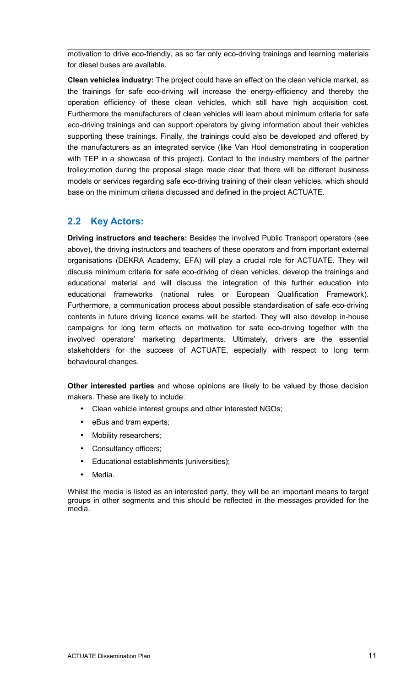motivation to drive eco-friendly, as so far only eco-driving trainings and learning materials for diesel buses are available.

**Clean vehicles industry:** The project could have an effect on the clean vehicle market, as the trainings for safe eco-driving will increase the energy-efficiency and thereby the operation efficiency of these clean vehicles, which still have high acquisition cost. Furthermore the manufacturers of clean vehicles will learn about minimum criteria for safe eco-driving trainings and can support operators by giving information about their vehicles supporting these trainings. Finally, the trainings could also be developed and offered by the manufacturers as an integrated service (like Van Hool demonstrating in cooperation with TEP in a showcase of this project). Contact to the industry members of the partner trolley:motion during the proposal stage made clear that there will be different business models or services regarding safe eco-driving training of their clean vehicles, which should base on the minimum criteria discussed and defined in the project ACTUATE.

## **2.2 Key Actors:**

**Driving instructors and teachers:** Besides the involved Public Transport operators (see above), the driving instructors and teachers of these operators and from important external organisations (DEKRA Academy, EFA) will play a crucial role for ACTUATE. They will discuss minimum criteria for safe eco-driving of clean vehicles, develop the trainings and educational material and will discuss the integration of this further education into educational frameworks (national rules or European Qualification Framework). Furthermore, a communication process about possible standardisation of safe eco-driving contents in future driving licence exams will be started. They will also develop in-house campaigns for long term effects on motivation for safe eco-driving together with the involved operators' marketing departments. Ultimately, drivers are the essential stakeholders for the success of ACTUATE, especially with respect to long term behavioural changes.

**Other interested parties** and whose opinions are likely to be valued by those decision makers. These are likely to include:

- Clean vehicle interest groups and other interested NGOs;
- eBus and tram experts;
- Mobility researchers;
- Consultancy officers;
- Educational establishments (universities);
- Media.

Whilst the media is listed as an interested party, they will be an important means to target groups in other segments and this should be reflected in the messages provided for the media.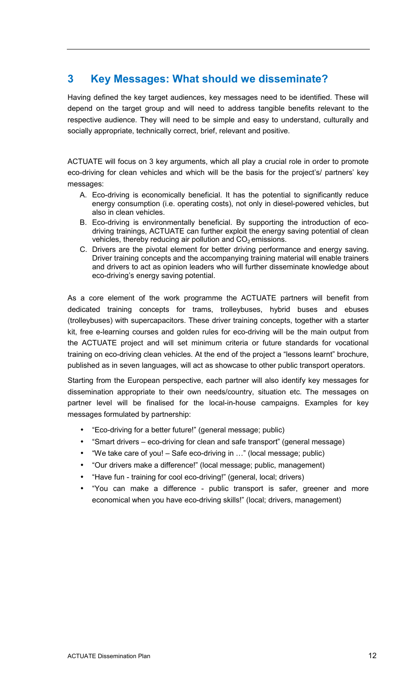# **3 Key Messages: What should we disseminate?**

Having defined the key target audiences, key messages need to be identified. These will depend on the target group and will need to address tangible benefits relevant to the respective audience. They will need to be simple and easy to understand, culturally and socially appropriate, technically correct, brief, relevant and positive.

ACTUATE will focus on 3 key arguments, which all play a crucial role in order to promote eco-driving for clean vehicles and which will be the basis for the project's/ partners' key messages:

- A. Eco-driving is economically beneficial. It has the potential to significantly reduce energy consumption (i.e. operating costs), not only in diesel-powered vehicles, but also in clean vehicles.
- B. Eco-driving is environmentally beneficial. By supporting the introduction of ecodriving trainings, ACTUATE can further exploit the energy saving potential of clean vehicles, thereby reducing air pollution and  $CO<sub>2</sub>$  emissions.
- C. Drivers are the pivotal element for better driving performance and energy saving. Driver training concepts and the accompanying training material will enable trainers and drivers to act as opinion leaders who will further disseminate knowledge about eco-driving's energy saving potential.

As a core element of the work programme the ACTUATE partners will benefit from dedicated training concepts for trams, trolleybuses, hybrid buses and ebuses (trolleybuses) with supercapacitors. These driver training concepts, together with a starter kit, free e-learning courses and golden rules for eco-driving will be the main output from the ACTUATE project and will set minimum criteria or future standards for vocational training on eco-driving clean vehicles. At the end of the project a "lessons learnt" brochure, published as in seven languages, will act as showcase to other public transport operators.

Starting from the European perspective, each partner will also identify key messages for dissemination appropriate to their own needs/country, situation etc. The messages on partner level will be finalised for the local-in-house campaigns. Examples for key messages formulated by partnership:

- "Eco-driving for a better future!" (general message; public)
- "Smart drivers eco-driving for clean and safe transport" (general message)
- "We take care of you! Safe eco-driving in L" (local message; public)
- "Our drivers make a difference!" (local message; public, management)
- "Have fun training for cool eco-driving!" (general, local; drivers)
- "You can make a difference public transport is safer, greener and more economical when you have eco-driving skills!" (local; drivers, management)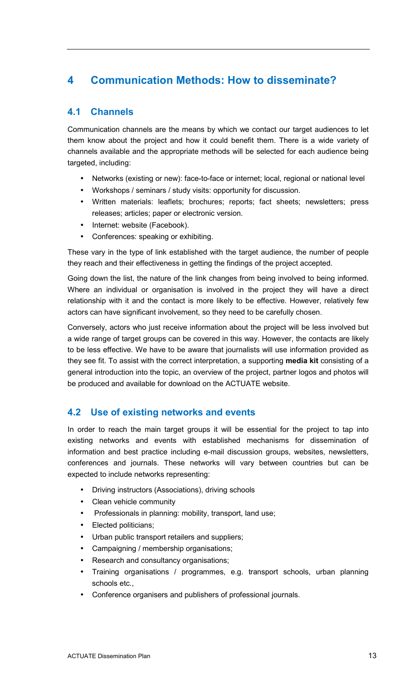# **4 Communication Methods: How to disseminate?**

# **4.1 Channels**

Communication channels are the means by which we contact our target audiences to let them know about the project and how it could benefit them. There is a wide variety of channels available and the appropriate methods will be selected for each audience being targeted, including:

- Networks (existing or new): face-to-face or internet; local, regional or national level
- Workshops / seminars / study visits: opportunity for discussion.
- Written materials: leaflets; brochures; reports; fact sheets; newsletters; press releases; articles; paper or electronic version.
- Internet: website (Facebook).
- Conferences: speaking or exhibiting.

These vary in the type of link established with the target audience, the number of people they reach and their effectiveness in getting the findings of the project accepted.

Going down the list, the nature of the link changes from being involved to being informed. Where an individual or organisation is involved in the project they will have a direct relationship with it and the contact is more likely to be effective. However, relatively few actors can have significant involvement, so they need to be carefully chosen.

Conversely, actors who just receive information about the project will be less involved but a wide range of target groups can be covered in this way. However, the contacts are likely to be less effective. We have to be aware that journalists will use information provided as they see fit. To assist with the correct interpretation, a supporting **media kit** consisting of a general introduction into the topic, an overview of the project, partner logos and photos will be produced and available for download on the ACTUATE website.

# **4.2 Use of existing networks and events**

In order to reach the main target groups it will be essential for the project to tap into existing networks and events with established mechanisms for dissemination of information and best practice including e-mail discussion groups, websites, newsletters, conferences and journals. These networks will vary between countries but can be expected to include networks representing:

- Driving instructors (Associations), driving schools
- Clean vehicle community
- Professionals in planning: mobility, transport, land use;
- Elected politicians;
- Urban public transport retailers and suppliers;
- Campaigning / membership organisations;
- Research and consultancy organisations;
- Training organisations / programmes, e.g. transport schools, urban planning schools etc.,
- Conference organisers and publishers of professional journals.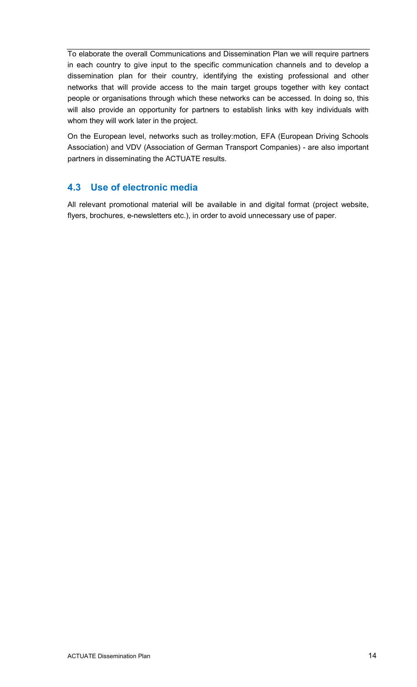To elaborate the overall Communications and Dissemination Plan we will require partners in each country to give input to the specific communication channels and to develop a dissemination plan for their country, identifying the existing professional and other networks that will provide access to the main target groups together with key contact people or organisations through which these networks can be accessed. In doing so, this will also provide an opportunity for partners to establish links with key individuals with whom they will work later in the project.

On the European level, networks such as trolley:motion, EFA (European Driving Schools Association) and VDV (Association of German Transport Companies) - are also important partners in disseminating the ACTUATE results.

# **4.3 Use of electronic media**

All relevant promotional material will be available in and digital format (project website, flyers, brochures, e-newsletters etc.), in order to avoid unnecessary use of paper.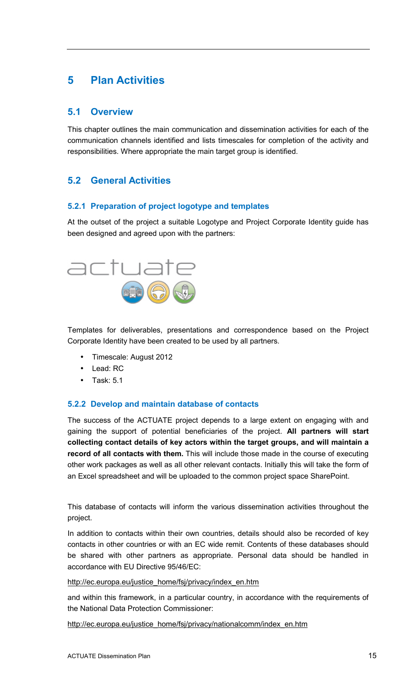# **5 Plan Activities**

## **5.1 Overview**

This chapter outlines the main communication and dissemination activities for each of the communication channels identified and lists timescales for completion of the activity and responsibilities. Where appropriate the main target group is identified.

# **5.2 General Activities**

#### **5.2.1 Preparation of project logotype and templates**

At the outset of the project a suitable Logotype and Project Corporate Identity guide has been designed and agreed upon with the partners:



Templates for deliverables, presentations and correspondence based on the Project Corporate Identity have been created to be used by all partners.

- Timescale: August 2012
- Lead: RC
- Task: 5.1

#### **5.2.2 Develop and maintain database of contacts**

The success of the ACTUATE project depends to a large extent on engaging with and gaining the support of potential beneficiaries of the project. **All partners will start collecting contact details of key actors within the target groups, and will maintain a record of all contacts with them.** This will include those made in the course of executing other work packages as well as all other relevant contacts. Initially this will take the form of an Excel spreadsheet and will be uploaded to the common project space SharePoint.

This database of contacts will inform the various dissemination activities throughout the project.

In addition to contacts within their own countries, details should also be recorded of key contacts in other countries or with an EC wide remit. Contents of these databases should be shared with other partners as appropriate. Personal data should be handled in accordance with EU Directive 95/46/EC:

http://ec.europa.eu/justice\_home/fsj/privacy/index\_en.htm

and within this framework, in a particular country, in accordance with the requirements of the National Data Protection Commissioner:

http://ec.europa.eu/justice\_home/fsj/privacy/nationalcomm/index\_en.htm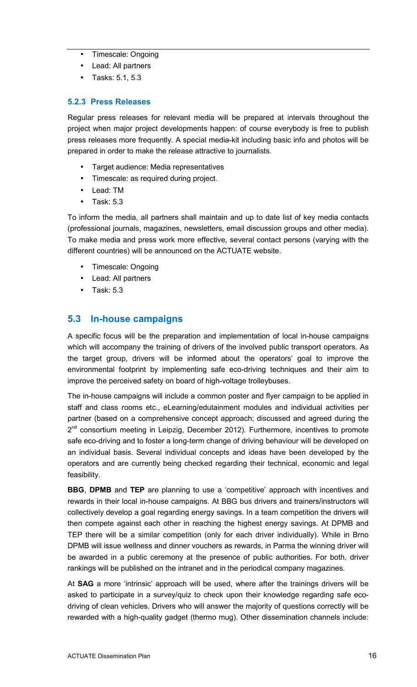- Timescale: Ongoing
- Lead: All partners
- Tasks: 5.1, 5.3

#### **5.2.3 Press Releases**

Regular press releases for relevant media will be prepared at intervals throughout the project when major project developments happen: of course everybody is free to publish press releases more frequently. A special media-kit including basic info and photos will be prepared in order to make the release attractive to journalists.

- Target audience: Media representatives
- Timescale: as required during project.
- Lead: TM
- Task: 5.3

To inform the media, all partners shall maintain and up to date list of key media contacts (professional journals, magazines, newsletters, email discussion groups and other media). To make media and press work more effective, several contact persons (varying with the different countries) will be announced on the ACTUATE website.

- Timescale: Ongoing
- Lead: All partners
- Task: 5.3

# **5.3 In-house campaigns**

A specific focus will be the preparation and implementation of local in-house campaigns which will accompany the training of drivers of the involved public transport operators. As the target group, drivers will be informed about the operators' goal to improve the environmental footprint by implementing safe eco-driving techniques and their aim to improve the perceived safety on board of high-voltage trolleybuses.

The in-house campaigns will include a common poster and flyer campaign to be applied in staff and class rooms etc., eLearning/edutainment modules and individual activities per partner (based on a comprehensive concept approach; discussed and agreed during the 2<sup>nd</sup> consortium meeting in Leipzig, December 2012). Furthermore, incentives to promote safe eco-driving and to foster a long-term change of driving behaviour will be developed on an individual basis. Several individual concepts and ideas have been developed by the operators and are currently being checked regarding their technical, economic and legal feasibility.

**BBG**, **DPMB** and **TEP** are planning to use a 'competitive' approach with incentives and rewards in their local in-house campaigns. At BBG bus drivers and trainers/instructors will collectively develop a goal regarding energy savings. In a team competition the drivers will then compete against each other in reaching the highest energy savings. At DPMB and TEP there will be a similar competition (only for each driver individually). While in Brno DPMB will issue wellness and dinner vouchers as rewards, in Parma the winning driver will be awarded in a public ceremony at the presence of public authorities. For both, driver rankings will be published on the intranet and in the periodical company magazines.

At **SAG** a more 'intrinsic' approach will be used, where after the trainings drivers will be asked to participate in a survey/quiz to check upon their knowledge regarding safe ecodriving of clean vehicles. Drivers who will answer the majority of questions correctly will be rewarded with a high-quality gadget (thermo mug). Other dissemination channels include: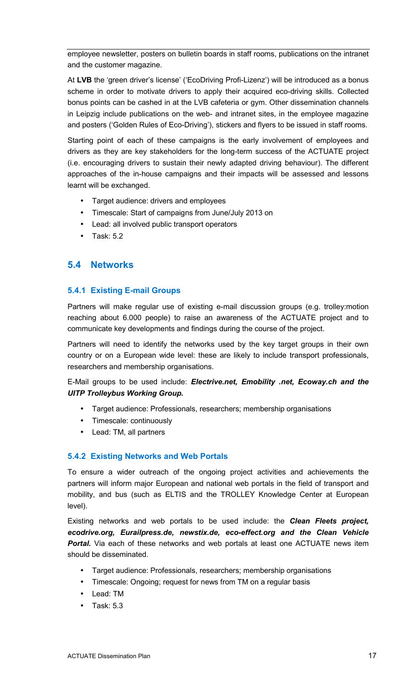employee newsletter, posters on bulletin boards in staff rooms, publications on the intranet and the customer magazine.

At **LVB** the 'green driver's license' ('EcoDriving Profi-Lizenz') will be introduced as a bonus scheme in order to motivate drivers to apply their acquired eco-driving skills. Collected bonus points can be cashed in at the LVB cafeteria or gym. Other dissemination channels in Leipzig include publications on the web- and intranet sites, in the employee magazine and posters ('Golden Rules of Eco-Driving'), stickers and flyers to be issued in staff rooms.

Starting point of each of these campaigns is the early involvement of employees and drivers as they are key stakeholders for the long-term success of the ACTUATE project (i.e. encouraging drivers to sustain their newly adapted driving behaviour). The different approaches of the in-house campaigns and their impacts will be assessed and lessons learnt will be exchanged.

- Target audience: drivers and employees
- Timescale: Start of campaigns from June/July 2013 on
- Lead: all involved public transport operators
- Task: 5.2

## **5.4 Networks**

#### **5.4.1 Existing E-mail Groups**

Partners will make regular use of existing e-mail discussion groups (e.g. trolley:motion reaching about 6.000 people) to raise an awareness of the ACTUATE project and to communicate key developments and findings during the course of the project.

Partners will need to identify the networks used by the key target groups in their own country or on a European wide level: these are likely to include transport professionals, researchers and membership organisations.

E-Mail groups to be used include: *Electrive.net, Emobility .net, Ecoway.ch and the UITP Trolleybus Working Group.*

- Target audience: Professionals, researchers; membership organisations
- Timescale: continuously
- Lead: TM, all partners

#### **5.4.2 Existing Networks and Web Portals**

To ensure a wider outreach of the ongoing project activities and achievements the partners will inform major European and national web portals in the field of transport and mobility, and bus (such as ELTIS and the TROLLEY Knowledge Center at European level).

Existing networks and web portals to be used include: the *Clean Fleets project, ecodrive.org, Eurailpress.de, newstix.de, eco-effect.org and the Clean Vehicle*  **Portal.** Via each of these networks and web portals at least one ACTUATE news item should be disseminated.

- Target audience: Professionals, researchers; membership organisations
- Timescale: Ongoing; request for news from TM on a regular basis
- Lead: TM
- Task: 5.3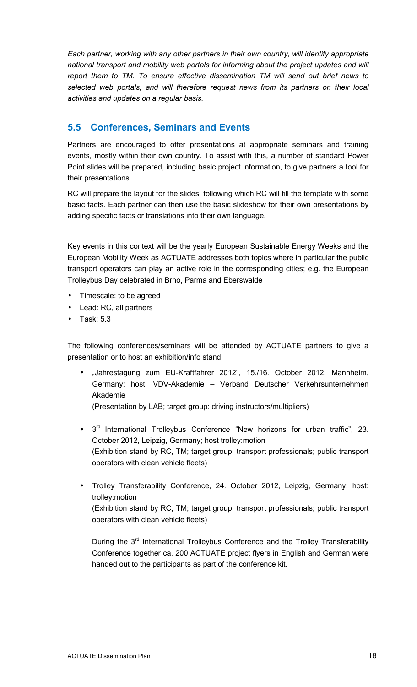*Each partner, working with any other partners in their own country, will identify appropriate national transport and mobility web portals for informing about the project updates and will report them to TM. To ensure effective dissemination TM will send out brief news to selected web portals, and will therefore request news from its partners on their local activities and updates on a regular basis.* 

# **5.5 Conferences, Seminars and Events**

Partners are encouraged to offer presentations at appropriate seminars and training events, mostly within their own country. To assist with this, a number of standard Power Point slides will be prepared, including basic project information, to give partners a tool for their presentations.

RC will prepare the layout for the slides, following which RC will fill the template with some basic facts. Each partner can then use the basic slideshow for their own presentations by adding specific facts or translations into their own language.

Key events in this context will be the yearly European Sustainable Energy Weeks and the European Mobility Week as ACTUATE addresses both topics where in particular the public transport operators can play an active role in the corresponding cities; e.g. the European Trolleybus Day celebrated in Brno, Parma and Eberswalde

- Timescale: to be agreed
- Lead: RC, all partners
- Task: 5.3

The following conferences/seminars will be attended by ACTUATE partners to give a presentation or to host an exhibition/info stand:

"Jahrestagung zum EU-Kraftfahrer 2012", 15./16. October 2012, Mannheim, Germany; host: VDV-Akademie – Verband Deutscher Verkehrsunternehmen Akademie

(Presentation by LAB; target group: driving instructors/multipliers)

- 3<sup>rd</sup> International Trolleybus Conference "New horizons for urban traffic", 23. October 2012, Leipzig, Germany; host trolley:motion (Exhibition stand by RC, TM; target group: transport professionals; public transport operators with clean vehicle fleets)
- Trolley Transferability Conference, 24. October 2012, Leipzig, Germany; host: trolley:motion (Exhibition stand by RC, TM; target group: transport professionals; public transport operators with clean vehicle fleets)

During the 3<sup>rd</sup> International Trolleybus Conference and the Trolley Transferability Conference together ca. 200 ACTUATE project flyers in English and German were handed out to the participants as part of the conference kit.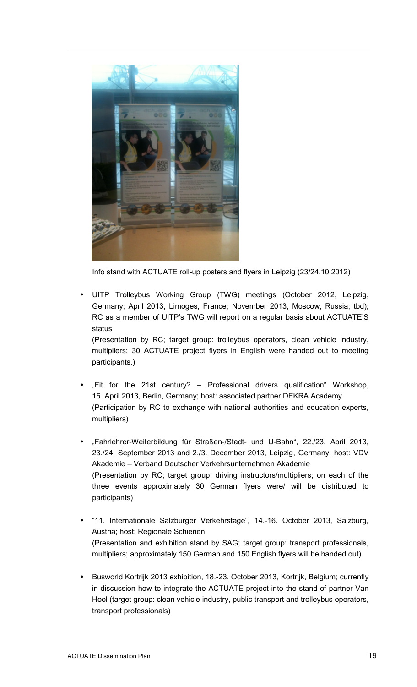

Info stand with ACTUATE roll-up posters and flyers in Leipzig (23/24.10.2012)

• UITP Trolleybus Working Group (TWG) meetings (October 2012, Leipzig, Germany; April 2013, Limoges, France; November 2013, Moscow, Russia; tbd); RC as a member of UITP's TWG will report on a regular basis about ACTUATE'S status

(Presentation by RC; target group: trolleybus operators, clean vehicle industry, multipliers; 30 ACTUATE project flyers in English were handed out to meeting participants.)

- "Fit for the 21st century?  $-$  Professional drivers qualification" Workshop, 15. April 2013, Berlin, Germany; host: associated partner DEKRA Academy (Participation by RC to exchange with national authorities and education experts, multipliers)
- "Fahrlehrer-Weiterbildung für Straßen-/Stadt- und U-Bahn", 22./23. April 2013, 23./24. September 2013 and 2./3. December 2013, Leipzig, Germany; host: VDV Akademie – Verband Deutscher Verkehrsunternehmen Akademie (Presentation by RC; target group: driving instructors/multipliers; on each of the three events approximately 30 German flyers were/ will be distributed to participants)
- "11. Internationale Salzburger Verkehrstage", 14.-16. October 2013, Salzburg, Austria; host: Regionale Schienen (Presentation and exhibition stand by SAG; target group: transport professionals, multipliers; approximately 150 German and 150 English flyers will be handed out)
- Busworld Kortrijk 2013 exhibition, 18.-23. October 2013, Kortrijk, Belgium; currently in discussion how to integrate the ACTUATE project into the stand of partner Van Hool (target group: clean vehicle industry, public transport and trolleybus operators, transport professionals)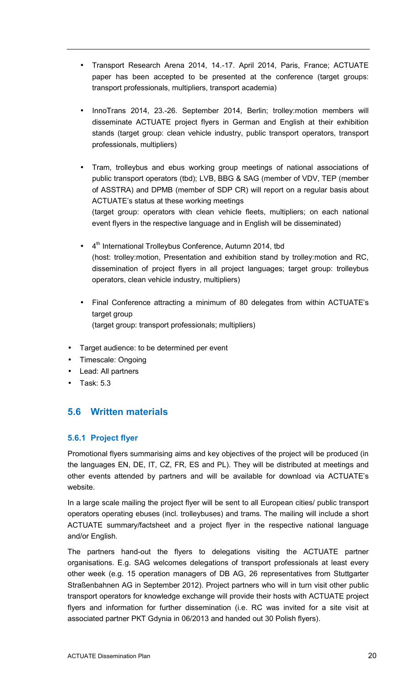- Transport Research Arena 2014, 14.-17. April 2014, Paris, France; ACTUATE paper has been accepted to be presented at the conference (target groups: transport professionals, multipliers, transport academia)
- InnoTrans 2014, 23.-26. September 2014, Berlin; trolley:motion members will disseminate ACTUATE project flyers in German and English at their exhibition stands (target group: clean vehicle industry, public transport operators, transport professionals, multipliers)
- Tram, trolleybus and ebus working group meetings of national associations of public transport operators (tbd); LVB, BBG & SAG (member of VDV, TEP (member of ASSTRA) and DPMB (member of SDP CR) will report on a regular basis about ACTUATE's status at these working meetings (target group: operators with clean vehicle fleets, multipliers; on each national event flyers in the respective language and in English will be disseminated)
- $\bullet$  4<sup>th</sup> International Trolleybus Conference, Autumn 2014, tbd (host: trolley:motion, Presentation and exhibition stand by trolley:motion and RC, dissemination of project flyers in all project languages; target group: trolleybus operators, clean vehicle industry, multipliers)
- Final Conference attracting a minimum of 80 delegates from within ACTUATE's target group (target group: transport professionals; multipliers)
- Target audience: to be determined per event
- Timescale: Ongoing
- Lead: All partners
- Task: 5.3

# **5.6 Written materials**

#### **5.6.1 Project flyer**

Promotional flyers summarising aims and key objectives of the project will be produced (in the languages EN, DE, IT, CZ, FR, ES and PL). They will be distributed at meetings and other events attended by partners and will be available for download via ACTUATE's website.

In a large scale mailing the project flyer will be sent to all European cities/ public transport operators operating ebuses (incl. trolleybuses) and trams. The mailing will include a short ACTUATE summary/factsheet and a project flyer in the respective national language and/or English.

The partners hand-out the flyers to delegations visiting the ACTUATE partner organisations. E.g. SAG welcomes delegations of transport professionals at least every other week (e.g. 15 operation managers of DB AG, 26 representatives from Stuttgarter Straßenbahnen AG in September 2012). Project partners who will in turn visit other public transport operators for knowledge exchange will provide their hosts with ACTUATE project flyers and information for further dissemination (i.e. RC was invited for a site visit at associated partner PKT Gdynia in 06/2013 and handed out 30 Polish flyers).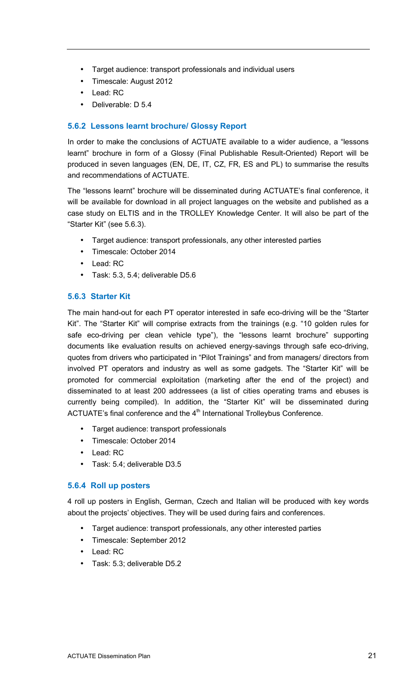- Target audience: transport professionals and individual users
- Timescale: August 2012
- Lead: RC
- Deliverable: D 5.4

### **5.6.2 Lessons learnt brochure/ Glossy Report**

In order to make the conclusions of ACTUATE available to a wider audience, a "lessons learnt" brochure in form of a Glossy (Final Publishable Result-Oriented) Report will be produced in seven languages (EN, DE, IT, CZ, FR, ES and PL) to summarise the results and recommendations of ACTUATE.

The "lessons learnt" brochure will be disseminated during ACTUATE's final conference, it will be available for download in all project languages on the website and published as a case study on ELTIS and in the TROLLEY Knowledge Center. It will also be part of the "Starter Kit" (see 5.6.3).

- Target audience: transport professionals, any other interested parties
- Timescale: October 2014
- Lead: RC
- Task: 5.3, 5.4; deliverable D5.6

### **5.6.3 Starter Kit**

The main hand-out for each PT operator interested in safe eco-driving will be the "Starter Kit". The "Starter Kit" will comprise extracts from the trainings (e.g. "10 golden rules for safe eco-driving per clean vehicle type"), the "lessons learnt brochure" supporting documents like evaluation results on achieved energy-savings through safe eco-driving, quotes from drivers who participated in "Pilot Trainings" and from managers/ directors from involved PT operators and industry as well as some gadgets. The "Starter Kit" will be promoted for commercial exploitation (marketing after the end of the project) and disseminated to at least 200 addressees (a list of cities operating trams and ebuses is currently being compiled). In addition, the "Starter Kit" will be disseminated during ACTUATE's final conference and the  $4<sup>th</sup>$  International Trolleybus Conference.

- Target audience: transport professionals
- Timescale: October 2014
- Lead: RC
- Task: 5.4; deliverable D3.5

#### **5.6.4 Roll up posters**

4 roll up posters in English, German, Czech and Italian will be produced with key words about the projects' objectives. They will be used during fairs and conferences.

- Target audience: transport professionals, any other interested parties
- Timescale: September 2012
- Lead: RC
- Task: 5.3; deliverable D5.2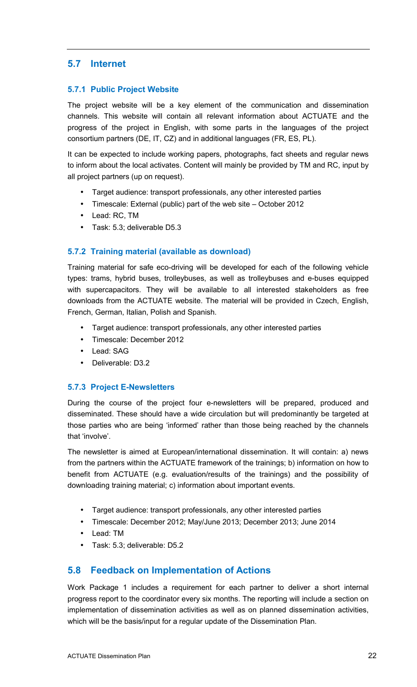# **5.7 Internet**

#### **5.7.1 Public Project Website**

The project website will be a key element of the communication and dissemination channels. This website will contain all relevant information about ACTUATE and the progress of the project in English, with some parts in the languages of the project consortium partners (DE, IT, CZ) and in additional languages (FR, ES, PL).

It can be expected to include working papers, photographs, fact sheets and regular news to inform about the local activates. Content will mainly be provided by TM and RC, input by all project partners (up on request).

- Target audience: transport professionals, any other interested parties
- Timescale: External (public) part of the web site October 2012
- Lead: RC, TM
- Task: 5.3; deliverable D5.3

## **5.7.2 Training material (available as download)**

Training material for safe eco-driving will be developed for each of the following vehicle types: trams, hybrid buses, trolleybuses, as well as trolleybuses and e-buses equipped with supercapacitors. They will be available to all interested stakeholders as free downloads from the ACTUATE website. The material will be provided in Czech, English, French, German, Italian, Polish and Spanish.

- Target audience: transport professionals, any other interested parties
- Timescale: December 2012
- Lead: SAG
- Deliverable: D3.2

#### **5.7.3 Project E-Newsletters**

During the course of the project four e-newsletters will be prepared, produced and disseminated. These should have a wide circulation but will predominantly be targeted at those parties who are being 'informed' rather than those being reached by the channels that 'involve'.

The newsletter is aimed at European/international dissemination. It will contain: a) news from the partners within the ACTUATE framework of the trainings; b) information on how to benefit from ACTUATE (e.g. evaluation/results of the trainings) and the possibility of downloading training material; c) information about important events.

- Target audience: transport professionals, any other interested parties
- Timescale: December 2012; May/June 2013; December 2013; June 2014
- Lead: TM
- Task: 5.3; deliverable: D5.2

# **5.8 Feedback on Implementation of Actions**

Work Package 1 includes a requirement for each partner to deliver a short internal progress report to the coordinator every six months. The reporting will include a section on implementation of dissemination activities as well as on planned dissemination activities, which will be the basis/input for a regular update of the Dissemination Plan.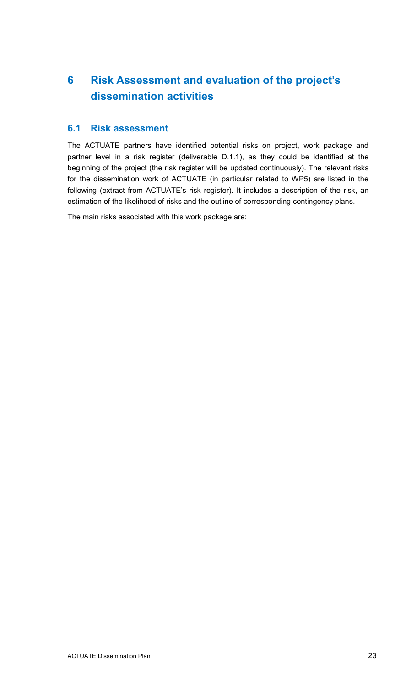# **6 Risk Assessment and evaluation of the project's dissemination activities**

# **6.1 Risk assessment**

The ACTUATE partners have identified potential risks on project, work package and partner level in a risk register (deliverable D.1.1), as they could be identified at the beginning of the project (the risk register will be updated continuously). The relevant risks for the dissemination work of ACTUATE (in particular related to WP5) are listed in the following (extract from ACTUATE's risk register). It includes a description of the risk, an estimation of the likelihood of risks and the outline of corresponding contingency plans.

The main risks associated with this work package are: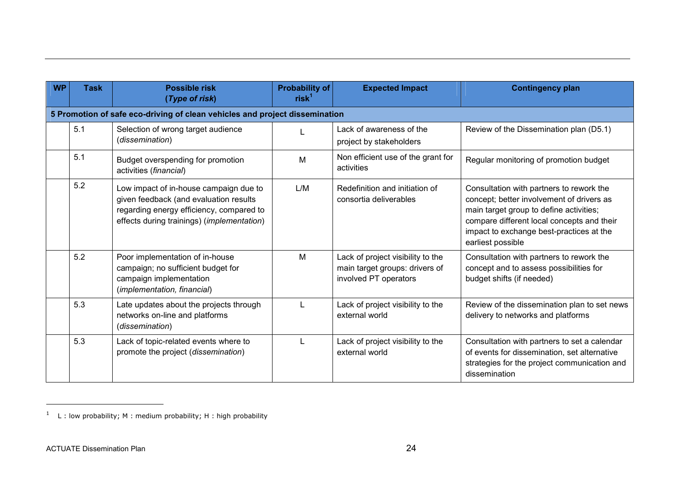| <b>WP</b> | <b>Task</b>                                                                 | <b>Possible risk</b><br>(Type of risk)                                                                                                                                     | Probability of<br>$rist^1$ | <b>Expected Impact</b>                                                                       | <b>Contingency plan</b>                                                                                                                                                                                                                         |  |  |  |  |  |  |  |
|-----------|-----------------------------------------------------------------------------|----------------------------------------------------------------------------------------------------------------------------------------------------------------------------|----------------------------|----------------------------------------------------------------------------------------------|-------------------------------------------------------------------------------------------------------------------------------------------------------------------------------------------------------------------------------------------------|--|--|--|--|--|--|--|
|           | 5 Promotion of safe eco-driving of clean vehicles and project dissemination |                                                                                                                                                                            |                            |                                                                                              |                                                                                                                                                                                                                                                 |  |  |  |  |  |  |  |
|           | 5.1                                                                         | Selection of wrong target audience<br>(dissemination)                                                                                                                      |                            | Lack of awareness of the<br>project by stakeholders                                          | Review of the Dissemination plan (D5.1)                                                                                                                                                                                                         |  |  |  |  |  |  |  |
|           | 5.1                                                                         | Budget overspending for promotion<br>activities (financial)                                                                                                                | M                          | Non efficient use of the grant for<br>activities                                             | Regular monitoring of promotion budget                                                                                                                                                                                                          |  |  |  |  |  |  |  |
|           | 5.2                                                                         | Low impact of in-house campaign due to<br>given feedback (and evaluation results<br>regarding energy efficiency, compared to<br>effects during trainings) (implementation) | L/M                        | Redefinition and initiation of<br>consortia deliverables                                     | Consultation with partners to rework the<br>concept; better involvement of drivers as<br>main target group to define activities;<br>compare different local concepts and their<br>impact to exchange best-practices at the<br>earliest possible |  |  |  |  |  |  |  |
|           | 5.2                                                                         | Poor implementation of in-house<br>campaign; no sufficient budget for<br>campaign implementation<br>(implementation, financial)                                            | M                          | Lack of project visibility to the<br>main target groups: drivers of<br>involved PT operators | Consultation with partners to rework the<br>concept and to assess possibilities for<br>budget shifts (if needed)                                                                                                                                |  |  |  |  |  |  |  |
|           | 5.3                                                                         | Late updates about the projects through<br>networks on-line and platforms<br>(dissemination)                                                                               | L                          | Lack of project visibility to the<br>external world                                          | Review of the dissemination plan to set news<br>delivery to networks and platforms                                                                                                                                                              |  |  |  |  |  |  |  |
|           | 5.3                                                                         | Lack of topic-related events where to<br>promote the project (dissemination)                                                                                               |                            | Lack of project visibility to the<br>external world                                          | Consultation with partners to set a calendar<br>of events for dissemination, set alternative<br>strategies for the project communication and<br>dissemination                                                                                   |  |  |  |  |  |  |  |

 $1$  L : low probability; M : medium probability; H : high probability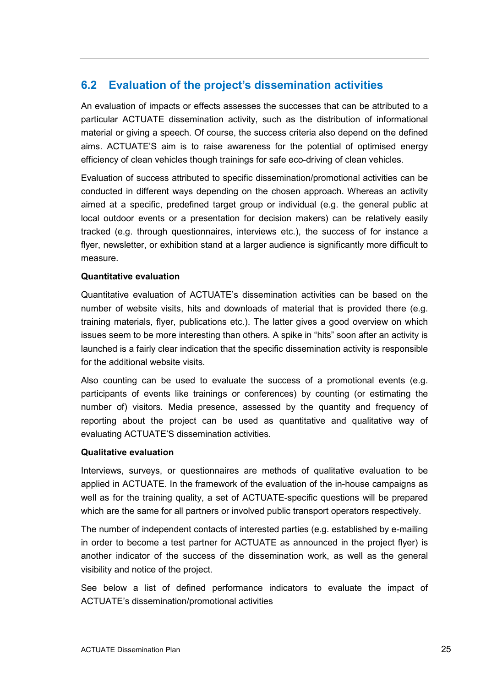# **6.2 Evaluation of the project's dissemination activities**

An evaluation of impacts or effects assesses the successes that can be attributed to a particular ACTUATE dissemination activity, such as the distribution of informational material or giving a speech. Of course, the success criteria also depend on the defined aims. ACTUATE'S aim is to raise awareness for the potential of optimised energy efficiency of clean vehicles though trainings for safe eco-driving of clean vehicles.

Evaluation of success attributed to specific dissemination/promotional activities can be conducted in different ways depending on the chosen approach. Whereas an activity aimed at a specific, predefined target group or individual (e.g. the general public at local outdoor events or a presentation for decision makers) can be relatively easily tracked (e.g. through questionnaires, interviews etc.), the success of for instance a flyer, newsletter, or exhibition stand at a larger audience is significantly more difficult to measure.

#### **Quantitative evaluation**

Quantitative evaluation of ACTUATE's dissemination activities can be based on the number of website visits, hits and downloads of material that is provided there (e.g. training materials, flyer, publications etc.). The latter gives a good overview on which issues seem to be more interesting than others. A spike in "hits" soon after an activity is launched is a fairly clear indication that the specific dissemination activity is responsible for the additional website visits.

Also counting can be used to evaluate the success of a promotional events (e.g. participants of events like trainings or conferences) by counting (or estimating the number of) visitors. Media presence, assessed by the quantity and frequency of reporting about the project can be used as quantitative and qualitative way of evaluating ACTUATE'S dissemination activities.

#### **Qualitative evaluation**

Interviews, surveys, or questionnaires are methods of qualitative evaluation to be applied in ACTUATE. In the framework of the evaluation of the in-house campaigns as well as for the training quality, a set of ACTUATE-specific questions will be prepared which are the same for all partners or involved public transport operators respectively.

The number of independent contacts of interested parties (e.g. established by e-mailing in order to become a test partner for ACTUATE as announced in the project flyer) is another indicator of the success of the dissemination work, as well as the general visibility and notice of the project.

See below a list of defined performance indicators to evaluate the impact of ACTUATE's dissemination/promotional activities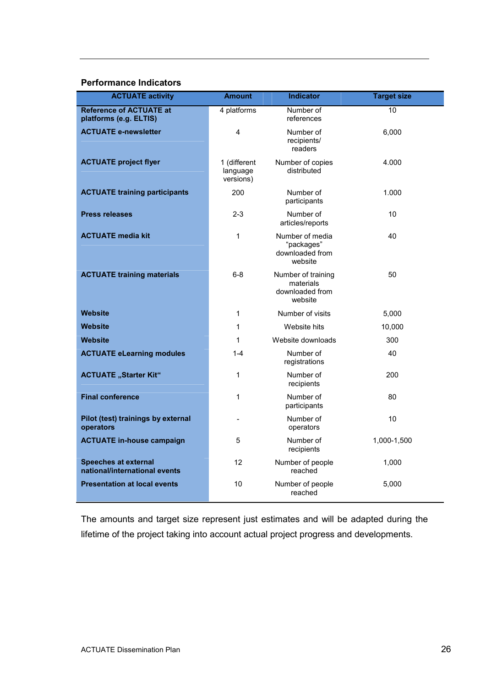#### **Performance Indicators**

| <b>ACTUATE activity</b>                                      | <b>Amount</b>                         | <b>Indicator</b>                                              | <b>Target size</b> |
|--------------------------------------------------------------|---------------------------------------|---------------------------------------------------------------|--------------------|
| <b>Reference of ACTUATE at</b><br>platforms (e.g. ELTIS)     | 4 platforms                           | Number of<br>references                                       | 10                 |
| <b>ACTUATE e-newsletter</b>                                  | 4                                     | Number of<br>recipients/<br>readers                           | 6,000              |
| <b>ACTUATE project flyer</b>                                 | 1 (different<br>language<br>versions) | Number of copies<br>distributed                               | 4.000              |
| <b>ACTUATE training participants</b>                         | 200                                   | Number of<br>participants                                     | 1.000              |
| <b>Press releases</b>                                        | $2 - 3$                               | Number of<br>articles/reports                                 | 10                 |
| <b>ACTUATE media kit</b>                                     | $\mathbf{1}$                          | Number of media<br>"packages"<br>downloaded from<br>website   | 40                 |
| <b>ACTUATE training materials</b>                            | $6 - 8$                               | Number of training<br>materials<br>downloaded from<br>website | 50                 |
| <b>Website</b>                                               | 1                                     | Number of visits                                              | 5,000              |
| <b>Website</b>                                               | 1                                     | Website hits                                                  | 10,000             |
| <b>Website</b>                                               | 1                                     | Website downloads                                             | 300                |
| <b>ACTUATE eLearning modules</b>                             | $1 - 4$                               | Number of<br>registrations                                    | 40                 |
| <b>ACTUATE</b> "Starter Kit"                                 | $\mathbf{1}$                          | Number of<br>recipients                                       | 200                |
| <b>Final conference</b>                                      | 1                                     | Number of<br>participants                                     | 80                 |
| Pilot (test) trainings by external<br>operators              | $\overline{\phantom{a}}$              | Number of<br>operators                                        | 10                 |
| <b>ACTUATE in-house campaign</b>                             | 5                                     | Number of<br>recipients                                       | 1,000-1,500        |
| <b>Speeches at external</b><br>national/international events | 12                                    | Number of people<br>reached                                   | 1,000              |
| <b>Presentation at local events</b>                          | 10                                    | Number of people<br>reached                                   | 5,000              |

The amounts and target size represent just estimates and will be adapted during the lifetime of the project taking into account actual project progress and developments.